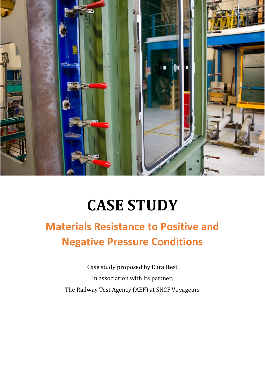

# **CASE STUDY**

# **Materials Resistance to Positive and Negative Pressure Conditions**

Case study proposed by Eurailtest In association with its partner, The Railway Test Agency (AEF) at SNCF Voyageurs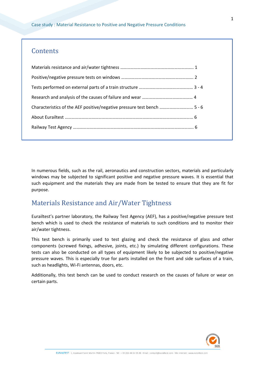Case study : Material Resistance to Positive and Negative Pressure Conditions

#### **Contents**

| Characteristics of the AEF positive/negative pressure test bench  5 - 6 |  |
|-------------------------------------------------------------------------|--|
|                                                                         |  |
|                                                                         |  |

In numerous fields, such as the rail, aeronautics and construction sectors, materials and particularly windows may be subjected to significant positive and negative pressure waves. It is essential that such equipment and the materials they are made from be tested to ensure that they are fit for purpose.

# Materials Resistance and Air/Water Tightness

Eurailtest's partner laboratory, the Railway Test Agency (AEF), has a positive/negative pressure test bench which is used to check the resistance of materials to such conditions and to monitor their air/water tightness.

This test bench is primarily used to test glazing and check the resistance of glass and other components (screwed fixings, adhesive, joints, etc.) by simulating different configurations. These tests can also be conducted on all types of equipment likely to be subjected to positive/negative pressure waves. This is especially true for parts installed on the front and side surfaces of a train, such as headlights, Wi-Fi antennas, doors, etc.

Additionally, this test bench can be used to conduct research on the causes of failure or wear on certain parts.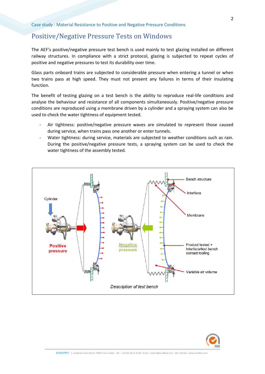# Positive/Negative Pressure Tests on Windows

The AEF's positive/negative pressure test bench is used mainly to test glazing installed on different railway structures. In compliance with a strict protocol, glazing is subjected to repeat cycles of positive and negative pressures to test its durability over time.

Glass parts onboard trains are subjected to considerable pressure when entering a tunnel or when two trains pass at high speed. They must not present any failures in terms of their insulating function.

The benefit of testing glazing on a test bench is the ability to reproduce real-life conditions and analyse the behaviour and resistance of all components simultaneously. Positive/negative pressure conditions are reproduced using a membrane driven by a cylinder and a spraying system can also be used to check the water tightness of equipment tested.

- Air tightness: positive/negative pressure waves are simulated to represent those caused during service, when trains pass one another or enter tunnels.
- Water tightness: during service, materials are subjected to weather conditions such as rain. During the positive/negative pressure tests, a spraying system can be used to check the water tightness of the assembly tested.



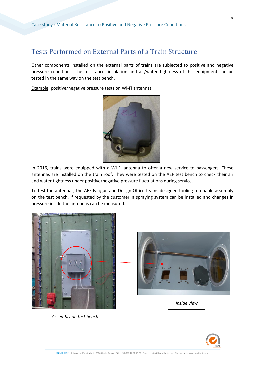#### Tests Performed on External Parts of a Train Structure

Other components installed on the external parts of trains are subjected to positive and negative pressure conditions. The resistance, insulation and air/water tightness of this equipment can be tested in the same way on the test bench.

Example: positive/negative pressure tests on Wi-Fi antennas



In 2016, trains were equipped with a Wi-Fi antenna to offer a new service to passengers. These antennas are installed on the train roof. They were tested on the AEF test bench to check their air and water tightness under positive/negative pressure fluctuations during service.

To test the antennas, the AEF Fatigue and Design Office teams designed tooling to enable assembly on the test bench. If requested by the customer, a spraying system can be installed and changes in pressure inside the antennas can be measured.





EURAILTEST - 1, boulevard Saint Martin 75003 Paris, France - Tél : + 33 (0)1 44 61 93 20 - Email : contact@eurailtest.com - Site internet : www.eurailtest.com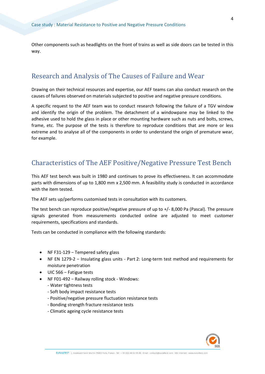Other components such as headlights on the front of trains as well as side doors can be tested in this way.

# Research and Analysis of The Causes of Failure and Wear

Drawing on their technical resources and expertise, our AEF teams can also conduct research on the causes of failures observed on materials subjected to positive and negative pressure conditions.

A specific request to the AEF team was to conduct research following the failure of a TGV window and identify the origin of the problem. The detachment of a windowpane may be linked to the adhesive used to hold the glass in place or other mounting hardware such as nuts and bolts, screws, frame, etc. The purpose of the tests is therefore to reproduce conditions that are more or less extreme and to analyse all of the components in order to understand the origin of premature wear, for example.

#### Characteristics of The AEF Positive/Negative Pressure Test Bench

This AEF test bench was built in 1980 and continues to prove its effectiveness. It can accommodate parts with dimensions of up to 1,800 mm x 2,500 mm. A feasibility study is conducted in accordance with the item tested.

The AEF sets up/performs customised tests in consultation with its customers.

The test bench can reproduce positive/negative pressure of up to +/- 8,000 Pa (Pascal). The pressure signals generated from measurements conducted online are adjusted to meet customer requirements, specifications and standards.

Tests can be conducted in compliance with the following standards:

- NF F31-129 − Tempered safety glass
- NF EN 1279-2 − Insulating glass units Part 2: Long-term test method and requirements for moisture penetration
- UIC 566 − Fatigue tests
- NF F01-492 − Railway rolling stock Windows:
	- Water tightness tests
	- Soft body impact resistance tests
	- Positive/negative pressure fluctuation resistance tests
	- Bonding strength fracture resistance tests
	- Climatic ageing cycle resistance tests